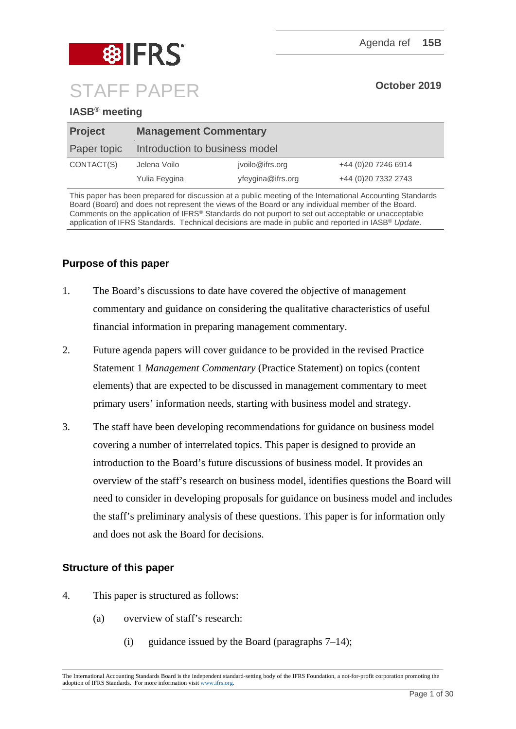



## **IASB® meeting**

| <b>Project</b> | <b>Management Commentary</b>   |                   |                      |
|----------------|--------------------------------|-------------------|----------------------|
| Paper topic    | Introduction to business model |                   |                      |
| CONTACT(S)     | Jelena Voilo                   | jvoilo@ifrs.org   | +44 (0) 20 7246 6914 |
|                | Yulia Feygina                  | yfeygina@ifrs.org | +44 (0)20 7332 2743  |

This paper has been prepared for discussion at a public meeting of the International Accounting Standards Board (Board) and does not represent the views of the Board or any individual member of the Board. Comments on the application of IFRS® Standards do not purport to set out acceptable or unacceptable application of IFRS Standards. Technical decisions are made in public and reported in IASB® *Update*.

## **Purpose of this paper**

- 1. The Board's discussions to date have covered the objective of management commentary and guidance on considering the qualitative characteristics of useful financial information in preparing management commentary.
- 2. Future agenda papers will cover guidance to be provided in the revised Practice Statement 1 *Management Commentary* (Practice Statement) on topics (content elements) that are expected to be discussed in management commentary to meet primary users' information needs, starting with business model and strategy.
- 3. The staff have been developing recommendations for guidance on business model covering a number of interrelated topics. This paper is designed to provide an introduction to the Board's future discussions of business model. It provides an overview of the staff's research on business model, identifies questions the Board will need to consider in developing proposals for guidance on business model and includes the staff's preliminary analysis of these questions. This paper is for information only and does not ask the Board for decisions.

## **Structure of this paper**

- 4. This paper is structured as follows:
	- (a) overview of staff's research:
		- (i) guidance issued by the Board (paragraphs  $7-14$ );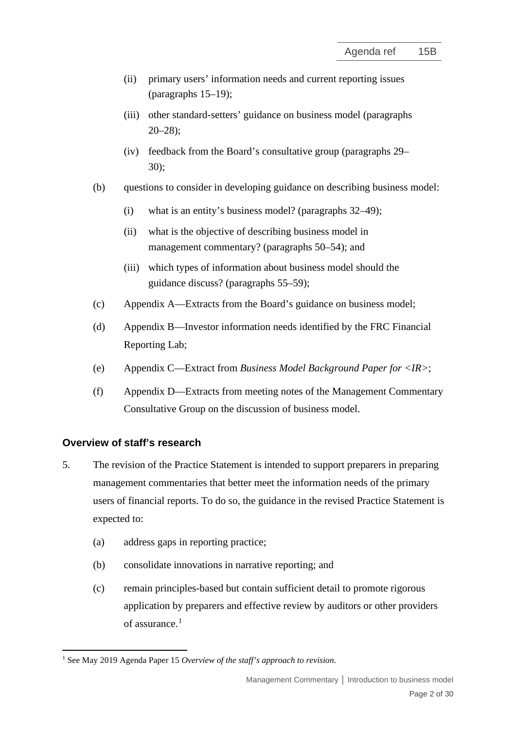- (ii) primary users' information needs and current reporting issues (paragraphs [15–](#page-4-1)[19\)](#page-5-0);
- (iii) other standard-setters' guidance on business model (paragraphs [20–](#page-6-0)[28\)](#page-9-0);
- (iv) feedback from the Board's consultative group (paragraphs [29–](#page-9-1) [30\)](#page-10-0);
- (b) questions to consider in developing guidance on describing business model:
	- (i) what is an entity's business model? (paragraphs [32](#page-11-0)[–49\)](#page-15-0);
	- (ii) what is the objective of describing business model in management commentary? (paragraphs [50–](#page-15-1)[54\)](#page-16-0); and
	- (iii) which types of information about business model should the guidance discuss? (paragraphs [55](#page-16-1)[–59\)](#page-18-0);
- (c) Appendix A—Extracts from the Board's guidance on business model;
- (d) Appendix B—Investor information needs identified by the FRC Financial Reporting Lab;
- (e) Appendix C—Extract from *Business Model Background Paper for <IR>*;
- (f) Appendix D—Extracts from meeting notes of the Management Commentary Consultative Group on the discussion of business model.

# **Overview of staff's research**

- <span id="page-1-1"></span>5. The revision of the Practice Statement is intended to support preparers in preparing management commentaries that better meet the information needs of the primary users of financial reports. To do so, the guidance in the revised Practice Statement is expected to:
	- (a) address gaps in reporting practice;
	- (b) consolidate innovations in narrative reporting; and
	- (c) remain principles-based but contain sufficient detail to promote rigorous application by preparers and effective review by auditors or other providers of assurance. [1](#page-1-0)

<span id="page-1-0"></span><sup>1</sup> See May 2019 Agenda Paper 15 *Overview of the staff's approach to revision*.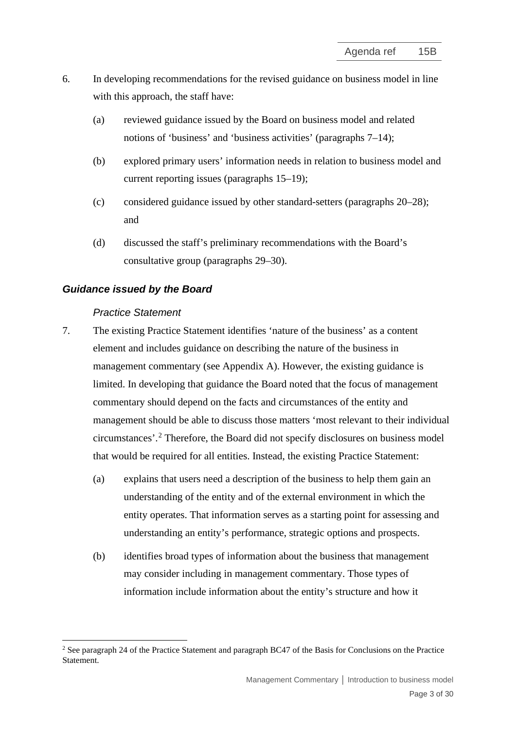- 6. In developing recommendations for the revised guidance on business model in line with this approach, the staff have:
	- (a) reviewed guidance issued by the Board on business model and related notions of 'business' and 'business activities' (paragraphs [7–](#page-2-0)[14\)](#page-4-0);
	- (b) explored primary users' information needs in relation to business model and current reporting issues (paragraphs [15](#page-4-1)[–19\)](#page-5-0);
	- (c) considered guidance issued by other standard-setters (paragraphs [20–](#page-6-0)[28\)](#page-9-0); and
	- (d) discussed the staff's preliminary recommendations with the Board's consultative group (paragraphs [29–](#page-9-1)[30\)](#page-10-0).

## *Guidance issued by the Board*

#### *Practice Statement*

- <span id="page-2-0"></span>7. The existing Practice Statement identifies 'nature of the business' as a content element and includes guidance on describing the nature of the business in management commentary (see Appendix A). However, the existing guidance is limited. In developing that guidance the Board noted that the focus of management commentary should depend on the facts and circumstances of the entity and management should be able to discuss those matters 'most relevant to their individual circumstances'. [2](#page-2-1) Therefore, the Board did not specify disclosures on business model that would be required for all entities. Instead, the existing Practice Statement:
	- (a) explains that users need a description of the business to help them gain an understanding of the entity and of the external environment in which the entity operates. That information serves as a starting point for assessing and understanding an entity's performance, strategic options and prospects.
	- (b) identifies broad types of information about the business that management may consider including in management commentary. Those types of information include information about the entity's structure and how it

<span id="page-2-1"></span><sup>&</sup>lt;sup>2</sup> See paragraph 24 of the Practice Statement and paragraph BC47 of the Basis for Conclusions on the Practice **Statement**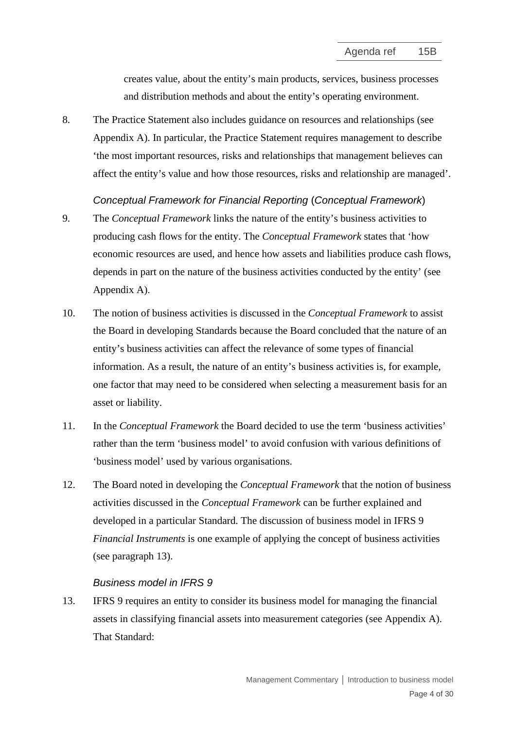creates value, about the entity's main products, services, business processes and distribution methods and about the entity's operating environment.

<span id="page-3-2"></span>8. The Practice Statement also includes guidance on resources and relationships (see Appendix A). In particular, the Practice Statement requires management to describe 'the most important resources, risks and relationships that management believes can affect the entity's value and how those resources, risks and relationship are managed'.

## *Conceptual Framework for Financial Reporting* (*Conceptual Framework*)

- <span id="page-3-1"></span>9. The *Conceptual Framework* links the nature of the entity's business activities to producing cash flows for the entity. The *Conceptual Framework* states that 'how economic resources are used, and hence how assets and liabilities produce cash flows, depends in part on the nature of the business activities conducted by the entity' (see Appendix A).
- 10. The notion of business activities is discussed in the *Conceptual Framework* to assist the Board in developing Standards because the Board concluded that the nature of an entity's business activities can affect the relevance of some types of financial information. As a result, the nature of an entity's business activities is, for example, one factor that may need to be considered when selecting a measurement basis for an asset or liability.
- 11. In the *Conceptual Framework* the Board decided to use the term 'business activities' rather than the term 'business model' to avoid confusion with various definitions of 'business model' used by various organisations.
- 12. The Board noted in developing the *Conceptual Framework* that the notion of business activities discussed in the *Conceptual Framework* can be further explained and developed in a particular Standard. The discussion of business model in IFRS 9 *Financial Instruments* is one example of applying the concept of business activities (see paragraph [13\)](#page-3-0).

### *Business model in IFRS 9*

<span id="page-3-0"></span>13. IFRS 9 requires an entity to consider its business model for managing the financial assets in classifying financial assets into measurement categories (see Appendix A). That Standard: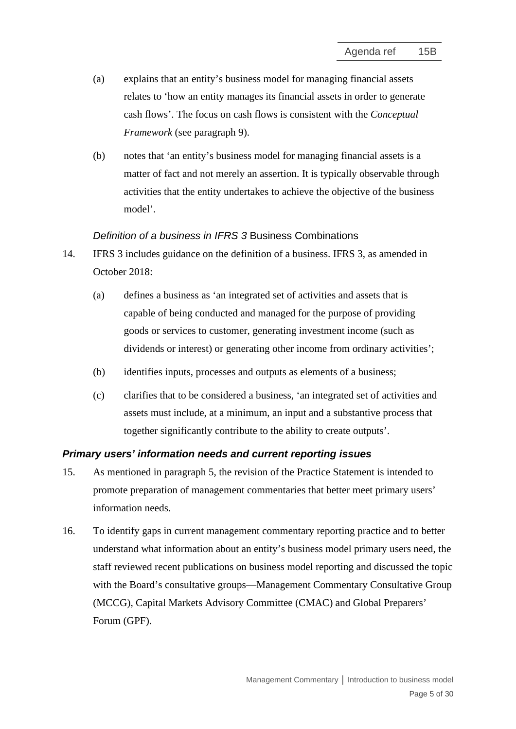- (a) explains that an entity's business model for managing financial assets relates to 'how an entity manages its financial assets in order to generate cash flows'. The focus on cash flows is consistent with the *Conceptual Framework* (see paragraph [9\)](#page-3-1).
- (b) notes that 'an entity's business model for managing financial assets is a matter of fact and not merely an assertion. It is typically observable through activities that the entity undertakes to achieve the objective of the business model'.

## *Definition of a business in IFRS 3* Business Combinations

- <span id="page-4-0"></span>14. IFRS 3 includes guidance on the definition of a business. IFRS 3, as amended in October 2018:
	- (a) defines a business as 'an integrated set of activities and assets that is capable of being conducted and managed for the purpose of providing goods or services to customer, generating investment income (such as dividends or interest) or generating other income from ordinary activities';
	- (b) identifies inputs, processes and outputs as elements of a business;
	- (c) clarifies that to be considered a business, 'an integrated set of activities and assets must include, at a minimum, an input and a substantive process that together significantly contribute to the ability to create outputs'.

### *Primary users' information needs and current reporting issues*

- <span id="page-4-1"></span>15. As mentioned in paragraph [5,](#page-1-1) the revision of the Practice Statement is intended to promote preparation of management commentaries that better meet primary users' information needs.
- 16. To identify gaps in current management commentary reporting practice and to better understand what information about an entity's business model primary users need, the staff reviewed recent publications on business model reporting and discussed the topic with the Board's consultative groups—Management Commentary Consultative Group (MCCG), Capital Markets Advisory Committee (CMAC) and Global Preparers' Forum (GPF).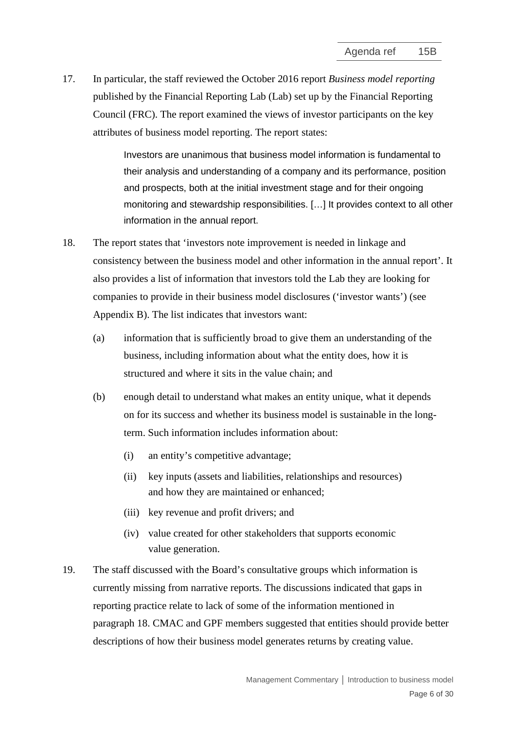<span id="page-5-2"></span>17. In particular, the staff reviewed the October 2016 report *Business model reporting* published by the Financial Reporting Lab (Lab) set up by the Financial Reporting Council (FRC). The report examined the views of investor participants on the key attributes of business model reporting. The report states:

> Investors are unanimous that business model information is fundamental to their analysis and understanding of a company and its performance, position and prospects, both at the initial investment stage and for their ongoing monitoring and stewardship responsibilities. […] It provides context to all other information in the annual report.

- <span id="page-5-1"></span>18. The report states that 'investors note improvement is needed in linkage and consistency between the business model and other information in the annual report'. It also provides a list of information that investors told the Lab they are looking for companies to provide in their business model disclosures ('investor wants') (see Appendix B). The list indicates that investors want:
	- (a) information that is sufficiently broad to give them an understanding of the business, including information about what the entity does, how it is structured and where it sits in the value chain; and
	- (b) enough detail to understand what makes an entity unique, what it depends on for its success and whether its business model is sustainable in the longterm. Such information includes information about:
		- (i) an entity's competitive advantage;
		- (ii) key inputs (assets and liabilities, relationships and resources) and how they are maintained or enhanced;
		- (iii) key revenue and profit drivers; and
		- (iv) value created for other stakeholders that supports economic value generation.
- <span id="page-5-0"></span>19. The staff discussed with the Board's consultative groups which information is currently missing from narrative reports. The discussions indicated that gaps in reporting practice relate to lack of some of the information mentioned in paragraph [18.](#page-5-1) CMAC and GPF members suggested that entities should provide better descriptions of how their business model generates returns by creating value.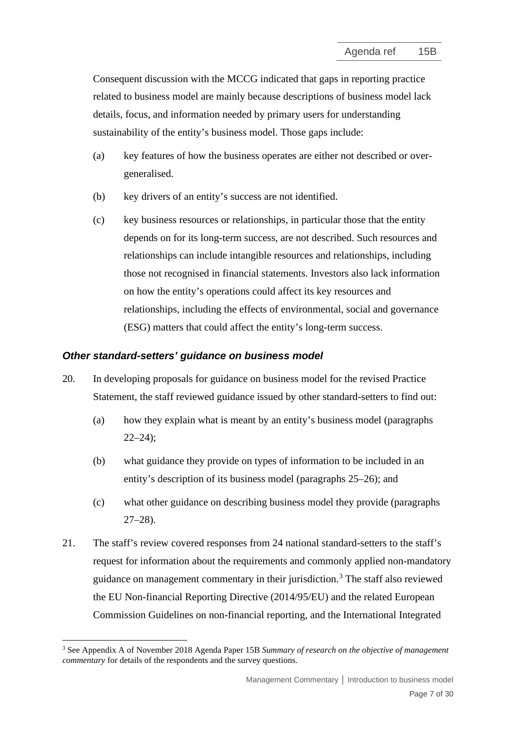Consequent discussion with the MCCG indicated that gaps in reporting practice related to business model are mainly because descriptions of business model lack details, focus, and information needed by primary users for understanding sustainability of the entity's business model. Those gaps include:

- (a) key features of how the business operates are either not described or overgeneralised.
- (b) key drivers of an entity's success are not identified.
- (c) key business resources or relationships, in particular those that the entity depends on for its long-term success, are not described. Such resources and relationships can include intangible resources and relationships, including those not recognised in financial statements. Investors also lack information on how the entity's operations could affect its key resources and relationships, including the effects of environmental, social and governance (ESG) matters that could affect the entity's long-term success.

## *Other standard-setters' guidance on business model*

- <span id="page-6-0"></span>20. In developing proposals for guidance on business model for the revised Practice Statement, the staff reviewed guidance issued by other standard-setters to find out:
	- (a) how they explain what is meant by an entity's business model (paragraphs  $22 - 24$ :
	- (b) what guidance they provide on types of information to be included in an entity's description of its business model (paragraphs [25–](#page-8-0)[26\)](#page-8-1); and
	- (c) what other guidance on describing business model they provide (paragraphs [27–](#page-9-2)[28\)](#page-9-0).
- 21. The staff's review covered responses from 24 national standard-setters to the staff's request for information about the requirements and commonly applied non-mandatory guidance on management commentary in their jurisdiction.[3](#page-6-1) The staff also reviewed the EU Non-financial Reporting Directive (2014/95/EU) and the related European Commission Guidelines on non-financial reporting, and the International Integrated

<span id="page-6-1"></span><sup>3</sup> See Appendix A of November 2018 Agenda Paper 15B *Summary of research on the objective of management commentary* for details of the respondents and the survey questions.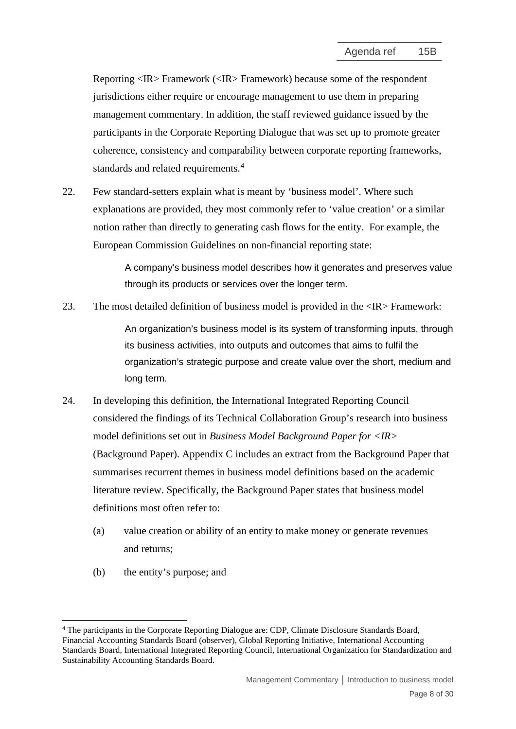Reporting <IR> Framework (<IR> Framework) because some of the respondent jurisdictions either require or encourage management to use them in preparing management commentary. In addition, the staff reviewed guidance issued by the participants in the Corporate Reporting Dialogue that was set up to promote greater coherence, consistency and comparability between corporate reporting frameworks, standards and related requirements.<sup>[4](#page-7-2)</sup>

<span id="page-7-0"></span>22. Few standard-setters explain what is meant by 'business model'. Where such explanations are provided, they most commonly refer to 'value creation' or a similar notion rather than directly to generating cash flows for the entity. For example, the European Commission Guidelines on non-financial reporting state:

> A company's business model describes how it generates and preserves value through its products or services over the longer term.

23. The most detailed definition of business model is provided in the <IR> Framework:

An organization's business model is its system of transforming inputs, through its business activities, into outputs and outcomes that aims to fulfil the organization's strategic purpose and create value over the short, medium and long term.

- <span id="page-7-1"></span>24. In developing this definition, the International Integrated Reporting Council considered the findings of its Technical Collaboration Group's research into business model definitions set out in *Business Model Background Paper for <IR>* (Background Paper). Appendix C includes an extract from the Background Paper that summarises recurrent themes in business model definitions based on the academic literature review. Specifically, the Background Paper states that business model definitions most often refer to:
	- (a) value creation or ability of an entity to make money or generate revenues and returns;
	- (b) the entity's purpose; and

<span id="page-7-2"></span><sup>4</sup> The participants in the Corporate Reporting Dialogue are: CDP, Climate Disclosure Standards Board, Financial Accounting Standards Board (observer), Global Reporting Initiative, International Accounting Standards Board, International Integrated Reporting Council, International Organization for Standardization and Sustainability Accounting Standards Board.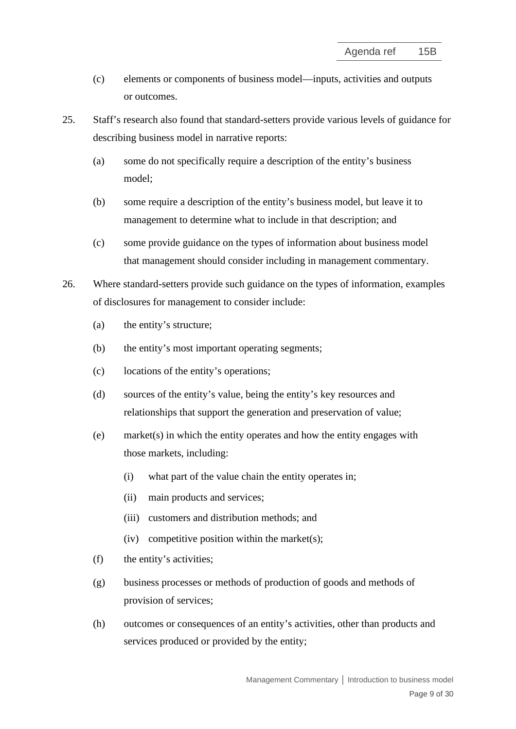- (c) elements or components of business model—inputs, activities and outputs or outcomes.
- <span id="page-8-0"></span>25. Staff's research also found that standard-setters provide various levels of guidance for describing business model in narrative reports:
	- (a) some do not specifically require a description of the entity's business model;
	- (b) some require a description of the entity's business model, but leave it to management to determine what to include in that description; and
	- (c) some provide guidance on the types of information about business model that management should consider including in management commentary.
- <span id="page-8-1"></span>26. Where standard-setters provide such guidance on the types of information, examples of disclosures for management to consider include:
	- (a) the entity's structure;
	- (b) the entity's most important operating segments;
	- (c) locations of the entity's operations;
	- (d) sources of the entity's value, being the entity's key resources and relationships that support the generation and preservation of value;
	- (e) market(s) in which the entity operates and how the entity engages with those markets, including:
		- (i) what part of the value chain the entity operates in;
		- (ii) main products and services;
		- (iii) customers and distribution methods; and
		- $(iv)$  competitive position within the market $(s)$ ;
	- (f) the entity's activities;
	- (g) business processes or methods of production of goods and methods of provision of services;
	- (h) outcomes or consequences of an entity's activities, other than products and services produced or provided by the entity;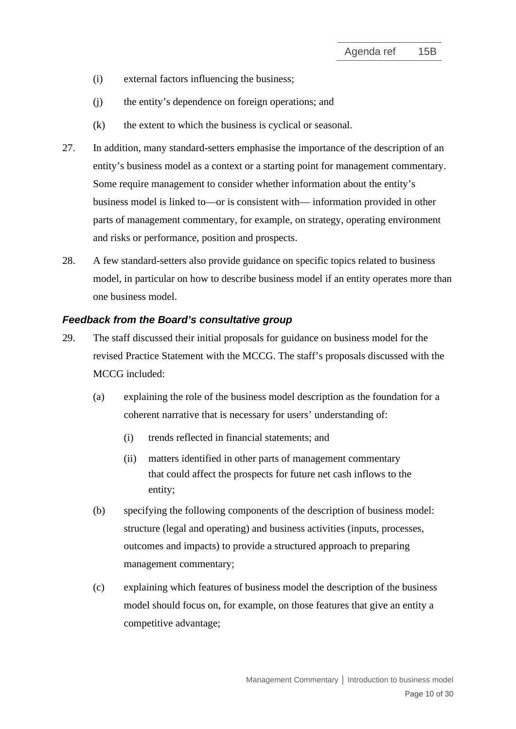- (i) external factors influencing the business;
- (j) the entity's dependence on foreign operations; and
- (k) the extent to which the business is cyclical or seasonal.
- <span id="page-9-2"></span>27. In addition, many standard-setters emphasise the importance of the description of an entity's business model as a context or a starting point for management commentary. Some require management to consider whether information about the entity's business model is linked to—or is consistent with— information provided in other parts of management commentary, for example, on strategy, operating environment and risks or performance, position and prospects.
- <span id="page-9-0"></span>28. A few standard-setters also provide guidance on specific topics related to business model, in particular on how to describe business model if an entity operates more than one business model.

### *Feedback from the Board's consultative group*

- <span id="page-9-1"></span>29. The staff discussed their initial proposals for guidance on business model for the revised Practice Statement with the MCCG. The staff's proposals discussed with the MCCG included:
	- (a) explaining the role of the business model description as the foundation for a coherent narrative that is necessary for users' understanding of:
		- (i) trends reflected in financial statements; and
		- (ii) matters identified in other parts of management commentary that could affect the prospects for future net cash inflows to the entity;
	- (b) specifying the following components of the description of business model: structure (legal and operating) and business activities (inputs, processes, outcomes and impacts) to provide a structured approach to preparing management commentary;
	- (c) explaining which features of business model the description of the business model should focus on, for example, on those features that give an entity a competitive advantage;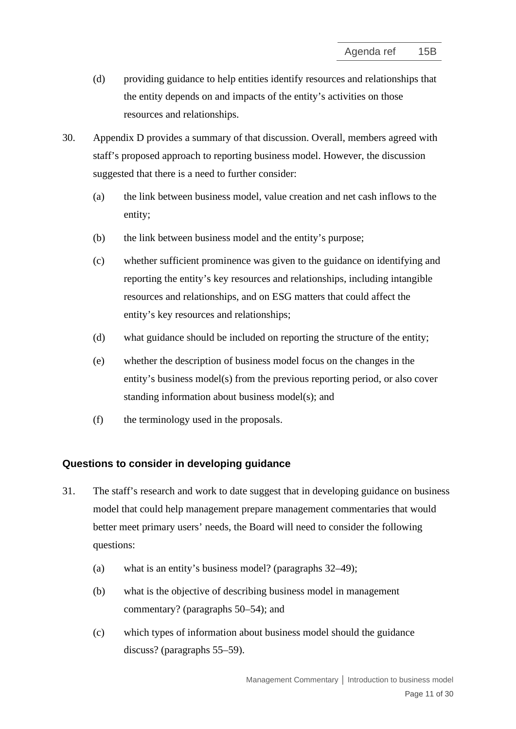- (d) providing guidance to help entities identify resources and relationships that the entity depends on and impacts of the entity's activities on those resources and relationships.
- <span id="page-10-0"></span>30. Appendix D provides a summary of that discussion. Overall, members agreed with staff's proposed approach to reporting business model. However, the discussion suggested that there is a need to further consider:
	- (a) the link between business model, value creation and net cash inflows to the entity;
	- (b) the link between business model and the entity's purpose;
	- (c) whether sufficient prominence was given to the guidance on identifying and reporting the entity's key resources and relationships, including intangible resources and relationships, and on ESG matters that could affect the entity's key resources and relationships;
	- (d) what guidance should be included on reporting the structure of the entity;
	- (e) whether the description of business model focus on the changes in the entity's business model(s) from the previous reporting period, or also cover standing information about business model(s); and
	- (f) the terminology used in the proposals.

## **Questions to consider in developing guidance**

- 31. The staff's research and work to date suggest that in developing guidance on business model that could help management prepare management commentaries that would better meet primary users' needs, the Board will need to consider the following questions:
	- (a) what is an entity's business model? (paragraphs [32](#page-11-0)[–49\)](#page-15-0);
	- (b) what is the objective of describing business model in management commentary? (paragraphs [50–](#page-15-1)[54\)](#page-16-0); and
	- (c) which types of information about business model should the guidance discuss? (paragraphs [55–](#page-16-1)[59\)](#page-18-0).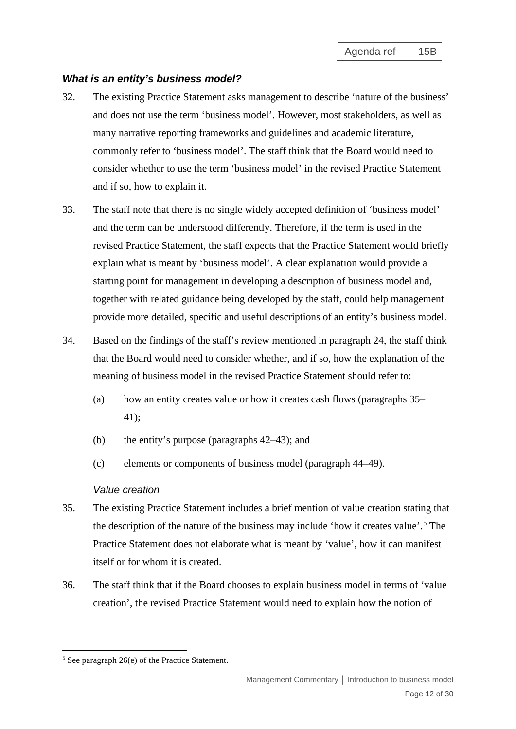## *What is an entity's business model?*

- <span id="page-11-0"></span>32. The existing Practice Statement asks management to describe 'nature of the business' and does not use the term 'business model'. However, most stakeholders, as well as many narrative reporting frameworks and guidelines and academic literature, commonly refer to 'business model'. The staff think that the Board would need to consider whether to use the term 'business model' in the revised Practice Statement and if so, how to explain it.
- 33. The staff note that there is no single widely accepted definition of 'business model' and the term can be understood differently. Therefore, if the term is used in the revised Practice Statement, the staff expects that the Practice Statement would briefly explain what is meant by 'business model'. A clear explanation would provide a starting point for management in developing a description of business model and, together with related guidance being developed by the staff, could help management provide more detailed, specific and useful descriptions of an entity's business model.
- 34. Based on the findings of the staff's review mentioned in paragraph [24,](#page-7-1) the staff think that the Board would need to consider whether, and if so, how the explanation of the meaning of business model in the revised Practice Statement should refer to:
	- (a) how an entity creates value or how it creates cash flows (paragraphs [35–](#page-11-1) [41\)](#page-13-0);
	- (b) the entity's purpose (paragraphs [42](#page-13-1)[–43\)](#page-13-2); and
	- (c) elements or components of business model (paragraph [44](#page-13-3)[–49\)](#page-15-0).

## *Value creation*

- <span id="page-11-1"></span>35. The existing Practice Statement includes a brief mention of value creation stating that the description of the nature of the business may include 'how it creates value'. [5](#page-11-2) The Practice Statement does not elaborate what is meant by 'value', how it can manifest itself or for whom it is created.
- 36. The staff think that if the Board chooses to explain business model in terms of 'value creation', the revised Practice Statement would need to explain how the notion of

<span id="page-11-2"></span> $<sup>5</sup>$  See paragraph 26(e) of the Practice Statement.</sup>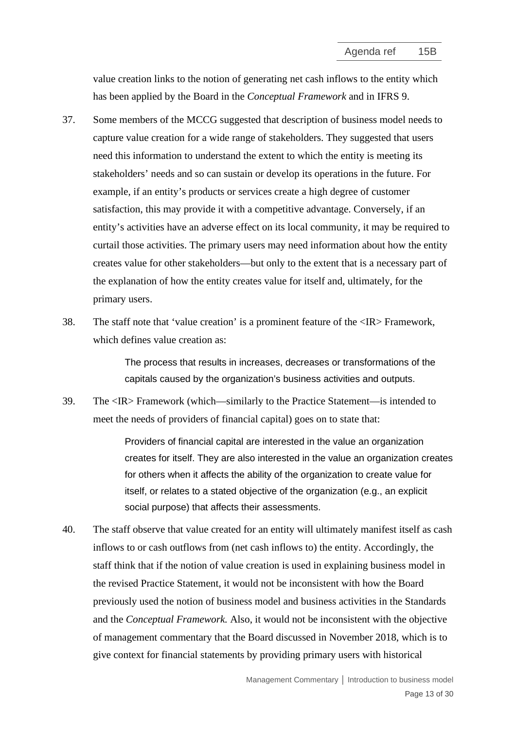value creation links to the notion of generating net cash inflows to the entity which has been applied by the Board in the *Conceptual Framework* and in IFRS 9.

- 37. Some members of the MCCG suggested that description of business model needs to capture value creation for a wide range of stakeholders. They suggested that users need this information to understand the extent to which the entity is meeting its stakeholders' needs and so can sustain or develop its operations in the future. For example, if an entity's products or services create a high degree of customer satisfaction, this may provide it with a competitive advantage. Conversely, if an entity's activities have an adverse effect on its local community, it may be required to curtail those activities. The primary users may need information about how the entity creates value for other stakeholders—but only to the extent that is a necessary part of the explanation of how the entity creates value for itself and, ultimately, for the primary users.
- 38. The staff note that 'value creation' is a prominent feature of the <IR> Framework, which defines value creation as:

The process that results in increases, decreases or transformations of the capitals caused by the organization's business activities and outputs.

39. The <IR> Framework (which—similarly to the Practice Statement—is intended to meet the needs of providers of financial capital) goes on to state that:

> Providers of financial capital are interested in the value an organization creates for itself. They are also interested in the value an organization creates for others when it affects the ability of the organization to create value for itself, or relates to a stated objective of the organization (e.g., an explicit social purpose) that affects their assessments.

<span id="page-12-0"></span>40. The staff observe that value created for an entity will ultimately manifest itself as cash inflows to or cash outflows from (net cash inflows to) the entity. Accordingly, the staff think that if the notion of value creation is used in explaining business model in the revised Practice Statement, it would not be inconsistent with how the Board previously used the notion of business model and business activities in the Standards and the *Conceptual Framework.* Also, it would not be inconsistent with the objective of management commentary that the Board discussed in November 2018, which is to give context for financial statements by providing primary users with historical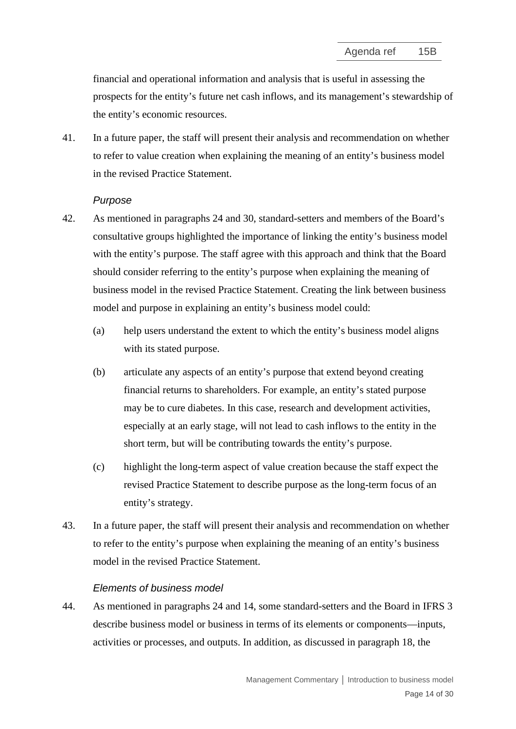financial and operational information and analysis that is useful in assessing the prospects for the entity's future net cash inflows, and its management's stewardship of the entity's economic resources.

<span id="page-13-0"></span>41. In a future paper, the staff will present their analysis and recommendation on whether to refer to value creation when explaining the meaning of an entity's business model in the revised Practice Statement.

### *Purpose*

- <span id="page-13-1"></span>42. As mentioned in paragraphs [24](#page-7-1) and [30,](#page-10-0) standard-setters and members of the Board's consultative groups highlighted the importance of linking the entity's business model with the entity's purpose. The staff agree with this approach and think that the Board should consider referring to the entity's purpose when explaining the meaning of business model in the revised Practice Statement. Creating the link between business model and purpose in explaining an entity's business model could:
	- (a) help users understand the extent to which the entity's business model aligns with its stated purpose.
	- (b) articulate any aspects of an entity's purpose that extend beyond creating financial returns to shareholders. For example, an entity's stated purpose may be to cure diabetes. In this case, research and development activities, especially at an early stage, will not lead to cash inflows to the entity in the short term, but will be contributing towards the entity's purpose.
	- (c) highlight the long-term aspect of value creation because the staff expect the revised Practice Statement to describe purpose as the long-term focus of an entity's strategy.
- <span id="page-13-2"></span>43. In a future paper, the staff will present their analysis and recommendation on whether to refer to the entity's purpose when explaining the meaning of an entity's business model in the revised Practice Statement.

## *Elements of business model*

<span id="page-13-3"></span>44. As mentioned in paragraphs [24](#page-7-1) and [14,](#page-4-0) some standard-setters and the Board in IFRS 3 describe business model or business in terms of its elements or components—inputs, activities or processes, and outputs. In addition, as discussed in paragraph [18,](#page-5-1) the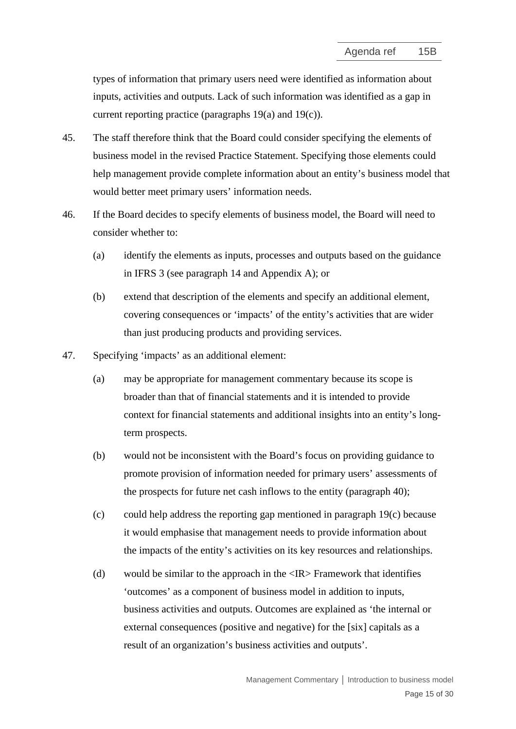types of information that primary users need were identified as information about inputs, activities and outputs. Lack of such information was identified as a gap in current reporting practice (paragraphs [19\(](#page-5-0)a) and [19\(](#page-5-0)c)).

- 45. The staff therefore think that the Board could consider specifying the elements of business model in the revised Practice Statement. Specifying those elements could help management provide complete information about an entity's business model that would better meet primary users' information needs.
- 46. If the Board decides to specify elements of business model, the Board will need to consider whether to:
	- (a) identify the elements as inputs, processes and outputs based on the guidance in IFRS 3 (see paragraph [14](#page-4-0) and Appendix A); or
	- (b) extend that description of the elements and specify an additional element, covering consequences or 'impacts' of the entity's activities that are wider than just producing products and providing services.
- 47. Specifying 'impacts' as an additional element:
	- (a) may be appropriate for management commentary because its scope is broader than that of financial statements and it is intended to provide context for financial statements and additional insights into an entity's longterm prospects.
	- (b) would not be inconsistent with the Board's focus on providing guidance to promote provision of information needed for primary users' assessments of the prospects for future net cash inflows to the entity (paragraph [40\)](#page-12-0);
	- (c) could help address the reporting gap mentioned in paragraph [19\(](#page-5-0)c) because it would emphasise that management needs to provide information about the impacts of the entity's activities on its key resources and relationships.
	- (d) would be similar to the approach in the  $\langle IR \rangle$  Framework that identifies 'outcomes' as a component of business model in addition to inputs, business activities and outputs. Outcomes are explained as 'the internal or external consequences (positive and negative) for the [six] capitals as a result of an organization's business activities and outputs'.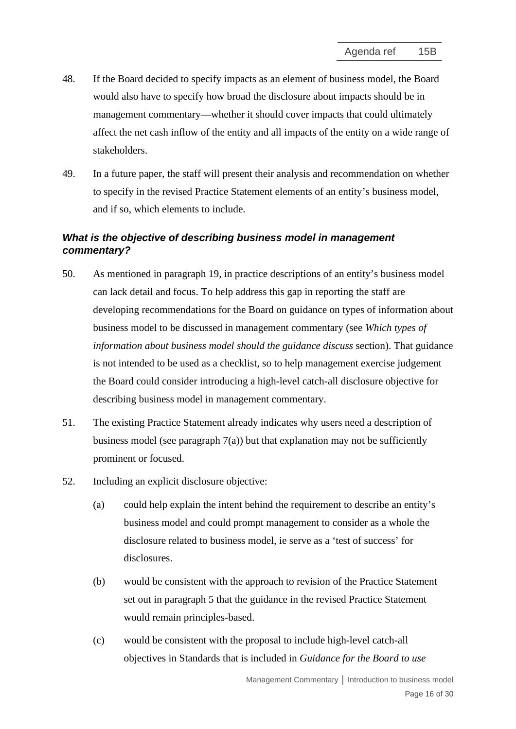- 48. If the Board decided to specify impacts as an element of business model, the Board would also have to specify how broad the disclosure about impacts should be in management commentary—whether it should cover impacts that could ultimately affect the net cash inflow of the entity and all impacts of the entity on a wide range of stakeholders.
- <span id="page-15-0"></span>49. In a future paper, the staff will present their analysis and recommendation on whether to specify in the revised Practice Statement elements of an entity's business model, and if so, which elements to include.

# *What is the objective of describing business model in management commentary?*

- <span id="page-15-1"></span>50. As mentioned in paragraph [19,](#page-5-0) in practice descriptions of an entity's business model can lack detail and focus. To help address this gap in reporting the staff are developing recommendations for the Board on guidance on types of information about business model to be discussed in management commentary (see *Which types of information about business model should the guidance discuss* section). That guidance is not intended to be used as a checklist, so to help management exercise judgement the Board could consider introducing a high-level catch-all disclosure objective for describing business model in management commentary.
- 51. The existing Practice Statement already indicates why users need a description of business model (see paragraph  $7(a)$ ) but that explanation may not be sufficiently prominent or focused.
- 52. Including an explicit disclosure objective:
	- (a) could help explain the intent behind the requirement to describe an entity's business model and could prompt management to consider as a whole the disclosure related to business model, ie serve as a 'test of success' for disclosures.
	- (b) would be consistent with the approach to revision of the Practice Statement set out in paragraph [5](#page-1-1) that the guidance in the revised Practice Statement would remain principles-based.
	- (c) would be consistent with the proposal to include high-level catch-all objectives in Standards that is included in *Guidance for the Board to use*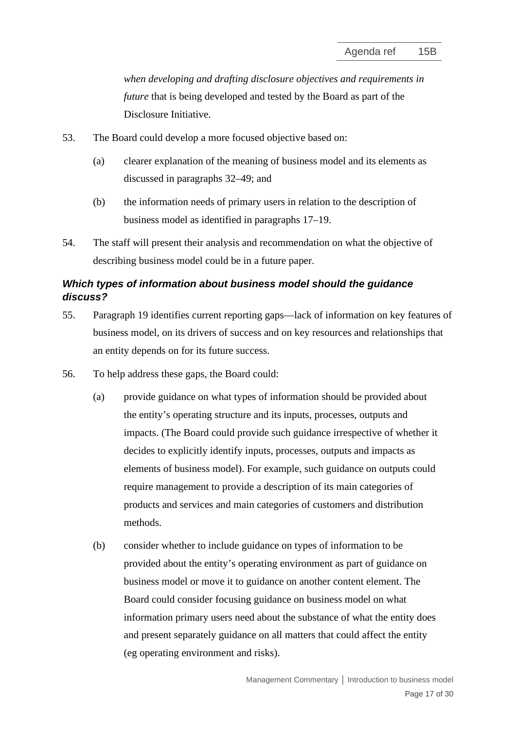*when developing and drafting disclosure objectives and requirements in future* that is being developed and tested by the Board as part of the Disclosure Initiative.

- 53. The Board could develop a more focused objective based on:
	- (a) clearer explanation of the meaning of business model and its elements as discussed in paragraphs [32–](#page-11-0)[49;](#page-15-0) and
	- (b) the information needs of primary users in relation to the description of business model as identified in paragraphs [17–](#page-5-2)[19.](#page-5-0)
- <span id="page-16-0"></span>54. The staff will present their analysis and recommendation on what the objective of describing business model could be in a future paper.

# *Which types of information about business model should the guidance discuss?*

- <span id="page-16-1"></span>55. Paragraph [19](#page-5-0) identifies current reporting gaps—lack of information on key features of business model, on its drivers of success and on key resources and relationships that an entity depends on for its future success.
- 56. To help address these gaps, the Board could:
	- (a) provide guidance on what types of information should be provided about the entity's operating structure and its inputs, processes, outputs and impacts. (The Board could provide such guidance irrespective of whether it decides to explicitly identify inputs, processes, outputs and impacts as elements of business model). For example, such guidance on outputs could require management to provide a description of its main categories of products and services and main categories of customers and distribution methods.
	- (b) consider whether to include guidance on types of information to be provided about the entity's operating environment as part of guidance on business model or move it to guidance on another content element. The Board could consider focusing guidance on business model on what information primary users need about the substance of what the entity does and present separately guidance on all matters that could affect the entity (eg operating environment and risks).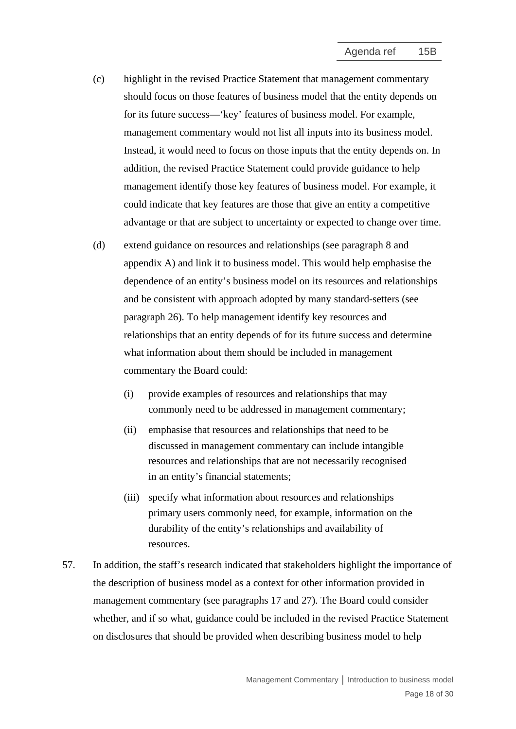- (c) highlight in the revised Practice Statement that management commentary should focus on those features of business model that the entity depends on for its future success—'key' features of business model. For example, management commentary would not list all inputs into its business model. Instead, it would need to focus on those inputs that the entity depends on. In addition, the revised Practice Statement could provide guidance to help management identify those key features of business model. For example, it could indicate that key features are those that give an entity a competitive advantage or that are subject to uncertainty or expected to change over time.
- (d) extend guidance on resources and relationships (see paragraph [8](#page-3-2) and appendix A) and link it to business model. This would help emphasise the dependence of an entity's business model on its resources and relationships and be consistent with approach adopted by many standard-setters (see paragraph [26\)](#page-8-1). To help management identify key resources and relationships that an entity depends of for its future success and determine what information about them should be included in management commentary the Board could:
	- (i) provide examples of resources and relationships that may commonly need to be addressed in management commentary;
	- (ii) emphasise that resources and relationships that need to be discussed in management commentary can include intangible resources and relationships that are not necessarily recognised in an entity's financial statements;
	- (iii) specify what information about resources and relationships primary users commonly need, for example, information on the durability of the entity's relationships and availability of resources.
- 57. In addition, the staff's research indicated that stakeholders highlight the importance of the description of business model as a context for other information provided in management commentary (see paragraphs [17](#page-5-2) and [27\)](#page-9-2). The Board could consider whether, and if so what, guidance could be included in the revised Practice Statement on disclosures that should be provided when describing business model to help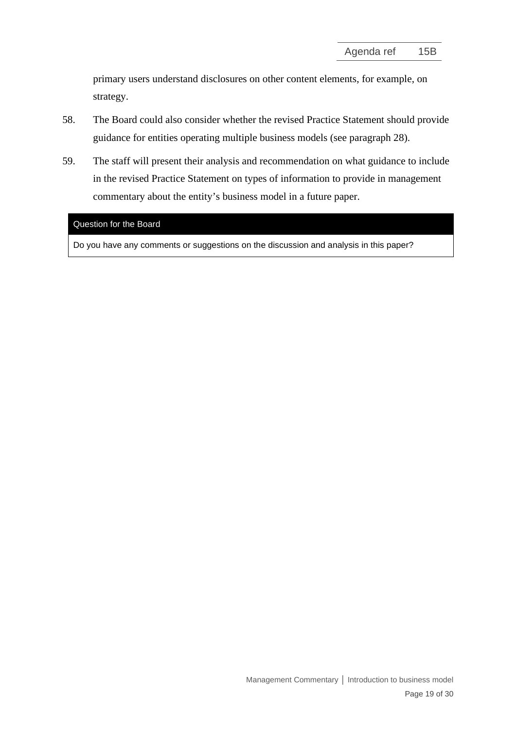primary users understand disclosures on other content elements, for example, on strategy.

- 58. The Board could also consider whether the revised Practice Statement should provide guidance for entities operating multiple business models (see paragraph [28\)](#page-9-0).
- <span id="page-18-0"></span>59. The staff will present their analysis and recommendation on what guidance to include in the revised Practice Statement on types of information to provide in management commentary about the entity's business model in a future paper.

## Question for the Board

Do you have any comments or suggestions on the discussion and analysis in this paper?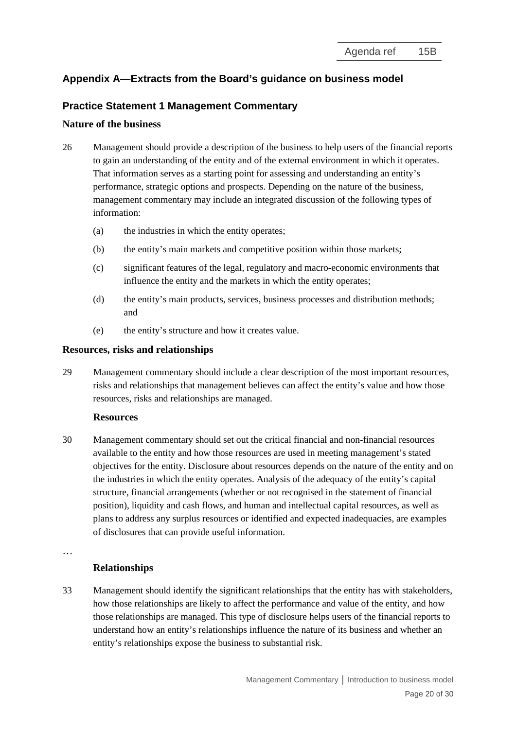# **Appendix A—Extracts from the Board's guidance on business model**

## **Practice Statement 1 Management Commentary**

#### **Nature of the business**

- 26 Management should provide a description of the business to help users of the financial reports to gain an understanding of the entity and of the external environment in which it operates. That information serves as a starting point for assessing and understanding an entity's performance, strategic options and prospects. Depending on the nature of the business, management commentary may include an integrated discussion of the following types of information:
	- (a) the industries in which the entity operates;
	- (b) the entity's main markets and competitive position within those markets;
	- (c) significant features of the legal, regulatory and macro-economic environments that influence the entity and the markets in which the entity operates;
	- (d) the entity's main products, services, business processes and distribution methods; and
	- (e) the entity's structure and how it creates value.

#### **Resources, risks and relationships**

29 Management commentary should include a clear description of the most important resources, risks and relationships that management believes can affect the entity's value and how those resources, risks and relationships are managed.

#### **Resources**

30 Management commentary should set out the critical financial and non-financial resources available to the entity and how those resources are used in meeting management's stated objectives for the entity. Disclosure about resources depends on the nature of the entity and on the industries in which the entity operates. Analysis of the adequacy of the entity's capital structure, financial arrangements (whether or not recognised in the statement of financial position), liquidity and cash flows, and human and intellectual capital resources, as well as plans to address any surplus resources or identified and expected inadequacies, are examples of disclosures that can provide useful information.

…

## **Relationships**

33 Management should identify the significant relationships that the entity has with stakeholders, how those relationships are likely to affect the performance and value of the entity, and how those relationships are managed. This type of disclosure helps users of the financial reports to understand how an entity's relationships influence the nature of its business and whether an entity's relationships expose the business to substantial risk.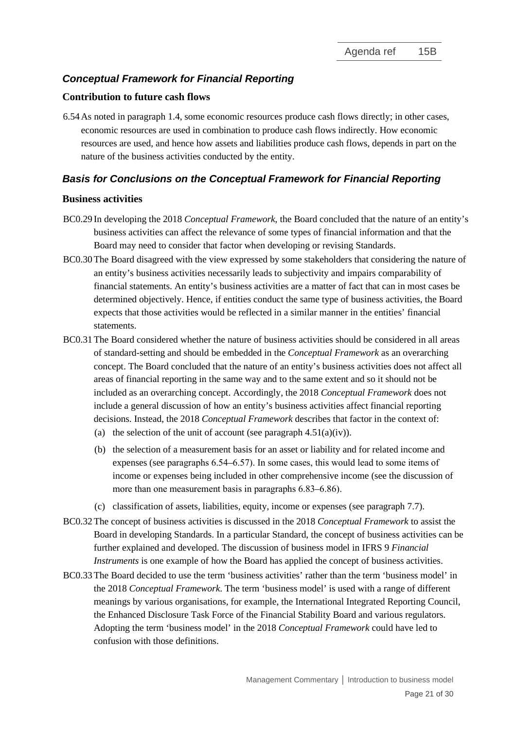# *Conceptual Framework for Financial Reporting*

#### **Contribution to future cash flows**

6.54As noted in paragraph 1.4, some economic resources produce cash flows directly; in other cases, economic resources are used in combination to produce cash flows indirectly. How economic resources are used, and hence how assets and liabilities produce cash flows, depends in part on the nature of the business activities conducted by the entity.

## *Basis for Conclusions on the Conceptual Framework for Financial Reporting*

### **Business activities**

- BC0.29 In developing the 2018 *Conceptual Framework*, the Board concluded that the nature of an entity's business activities can affect the relevance of some types of financial information and that the Board may need to consider that factor when developing or revising Standards.
- BC0.30The Board disagreed with the view expressed by some stakeholders that considering the nature of an entity's business activities necessarily leads to subjectivity and impairs comparability of financial statements. An entity's business activities are a matter of fact that can in most cases be determined objectively. Hence, if entities conduct the same type of business activities, the Board expects that those activities would be reflected in a similar manner in the entities' financial statements.
- BC0.31The Board considered whether the nature of business activities should be considered in all areas of standard-setting and should be embedded in the *Conceptual Framework* as an overarching concept. The Board concluded that the nature of an entity's business activities does not affect all areas of financial reporting in the same way and to the same extent and so it should not be included as an overarching concept. Accordingly, the 2018 *Conceptual Framework* does not include a general discussion of how an entity's business activities affect financial reporting decisions. Instead, the 2018 *Conceptual Framework* describes that factor in the context of:
	- (a) the selection of the unit of account (see paragraph  $4.51(a)(iv)$ ).
	- (b) the selection of a measurement basis for an asset or liability and for related income and expenses (see paragraphs 6.54–6.57). In some cases, this would lead to some items of income or expenses being included in other comprehensive income (see the discussion of more than one measurement basis in paragraphs 6.83–6.86).
	- (c) classification of assets, liabilities, equity, income or expenses (see paragraph 7.7).
- BC0.32The concept of business activities is discussed in the 2018 *Conceptual Framework* to assist the Board in developing Standards. In a particular Standard, the concept of business activities can be further explained and developed. The discussion of business model in IFRS 9 *Financial Instruments* is one example of how the Board has applied the concept of business activities.
- BC0.33The Board decided to use the term 'business activities' rather than the term 'business model' in the 2018 *Conceptual Framework*. The term 'business model' is used with a range of different meanings by various organisations, for example, the International Integrated Reporting Council, the Enhanced Disclosure Task Force of the Financial Stability Board and various regulators. Adopting the term 'business model' in the 2018 *Conceptual Framework* could have led to confusion with those definitions.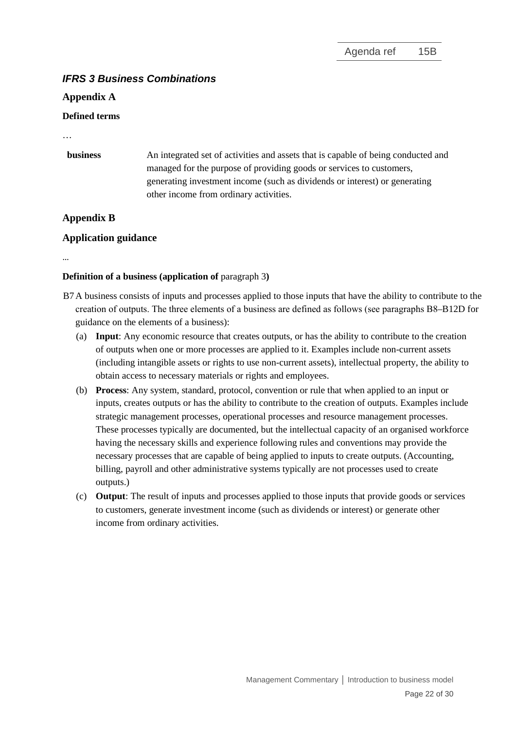## *IFRS 3 Business Combinations*

### **Appendix A**

### **Defined terms**

…

| <b>business</b> | An integrated set of activities and assets that is capable of being conducted and |  |  |
|-----------------|-----------------------------------------------------------------------------------|--|--|
|                 | managed for the purpose of providing goods or services to customers,              |  |  |
|                 | generating investment income (such as dividends or interest) or generating        |  |  |
|                 | other income from ordinary activities.                                            |  |  |

## **Appendix B**

## **Application guidance**

…

### **Definition of a business (application of** [paragraph](https://eifrs.ifrs.org/eifrs/ViewContent?collection=2019_Issued_Standards&fn=IFRS03_TI.html&scrollTo=IFRS03_g3-3__IFRS03_g3-3_TI) 3**)**

- B7A [business](https://eifrs.ifrs.org/eifrs/ViewContent?collection=2019_Issued_Standards&fn=IFRS03_APPA.html&scrollTo=IFRS03_APPA__IFRS03_P0301) consists of inputs and processes applied to those inputs that have the ability to contribute to the creation of outputs. The three elements of a business are defined as follows (see paragraphs B8–B12D for guidance on the elements of a business):
	- (a) **Input**: Any economic resource that creates outputs, or has the ability to contribute to the creation of outputs when one or more processes are applied to it. Examples include non-current assets (including [intangible assets](https://eifrs.ifrs.org/eifrs/ViewContent?collection=2019_Issued_Standards&fn=IFRS03_APPA.html&scrollTo=IFRS03_APPA__IFRS03_P0319) or rights to use non-current assets), intellectual property, the ability to obtain access to necessary materials or rights and employees.
	- (b) **Process**: Any system, standard, protocol, convention or rule that when applied to an input or inputs, creates outputs or has the ability to contribute to the creation of outputs. Examples include strategic management processes, operational processes and resource management processes. These processes typically are documented, but the intellectual capacity of an organised workforce having the necessary skills and experience following rules and conventions may provide the necessary processes that are capable of being applied to inputs to create outputs. (Accounting, billing, payroll and other administrative systems typically are not processes used to create outputs.)
	- (c) **Output**: The result of inputs and processes applied to those inputs that provide goods or services to customers, generate investment income (such as dividends or interest) or generate other income from ordinary activities.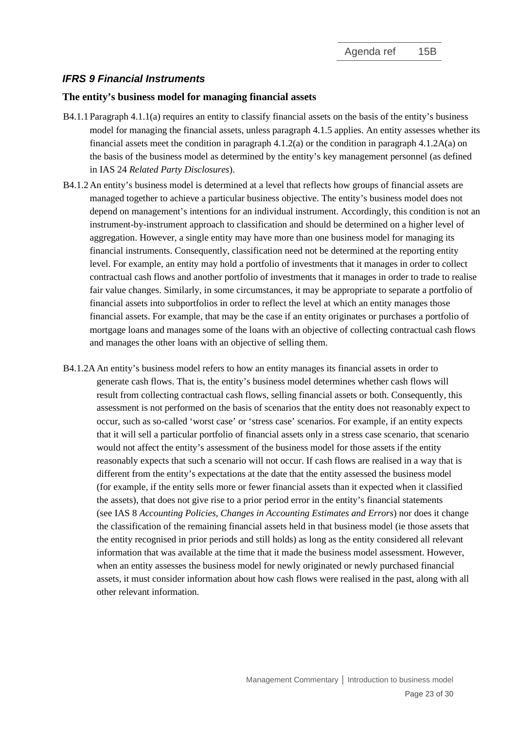## *IFRS 9 Financial Instruments*

#### **The entity's business model for managing financial assets**

- B4.1.[1Paragraph](https://eifrs.ifrs.org/eifrs/ViewContent?collection=2019_Issued_Standards&fn=IFRS09_TI0002.html&scrollTo=IFRS09_0055__IFRS09_0055_TI) 4.1.1(a) requires an entity to classify financial assets on the basis of the entity's business model for managing the financial assets, unless [paragraph](https://eifrs.ifrs.org/eifrs/ViewContent?collection=2019_Issued_Standards&fn=IFRS09_TI0002.html&scrollTo=IFRS09_g4.1.5-4.1.5__IFRS09_g4.1.5-4.1.5_TI) 4.1.5 applies. An entity assesses whether its financial assets meet the condition in [paragraph](https://eifrs.ifrs.org/eifrs/ViewContent?collection=2019_Issued_Standards&fn=IFRS09_TI0002.html&scrollTo=IFRS09_4.1.2A)  $4.1.2(a)$  or the condition in paragraph  $4.1.2A(a)$  on the basis of the business model as determined by the entity's key management personnel (as defined in IAS 24 *[Related Party Disclosures](https://eifrs.ifrs.org/eifrs/ViewContent?collection=2019_Issued_Standards&fn=IAS24_CHK_FM.html&scrollTo=IAS24_TOC0001)*).
- B4.1.2An entity's business model is determined at a level that reflects how groups of financial assets are managed together to achieve a particular business objective. The entity's business model does not depend on management's intentions for an individual instrument. Accordingly, this condition is not an instrument-by-instrument approach to classification and should be determined on a higher level of aggregation. However, a single entity may have more than one business model for managing its financial instruments. Consequently, classification need not be determined at the reporting entity level. For example, an entity may hold a portfolio of investments that it manages in order to collect contractual cash flows and another portfolio of investments that it manages in order to trade to realise fair value changes. Similarly, in some circumstances, it may be appropriate to separate a portfolio of financial assets into subportfolios in order to reflect the level at which an entity manages those financial assets. For example, that may be the case if an entity originates or purchases a portfolio of mortgage loans and manages some of the loans with an objective of collecting contractual cash flows and manages the other loans with an objective of selling them.
- B4.1.2AAn entity's business model refers to how an entity manages its financial assets in order to generate cash flows. That is, the entity's business model determines whether cash flows will result from collecting contractual cash flows, selling financial assets or both. Consequently, this assessment is not performed on the basis of scenarios that the entity does not reasonably expect to occur, such as so-called 'worst case' or 'stress case' scenarios. For example, if an entity expects that it will sell a particular portfolio of financial assets only in a stress case scenario, that scenario would not affect the entity's assessment of the business model for those assets if the entity reasonably expects that such a scenario will not occur. If cash flows are realised in a way that is different from the entity's expectations at the date that the entity assessed the business model (for example, if the entity sells more or fewer financial assets than it expected when it classified the assets), that does not give rise to a prior period error in the entity's financial statements (see IAS 8 *[Accounting Policies, Changes in Accounting Estimates and Errors](https://eifrs.ifrs.org/eifrs/ViewContent?collection=2019_Issued_Standards&fn=IAS08_CHK_FM.html&scrollTo=IAS08_TOC0001)*) nor does it change the classification of the remaining financial assets held in that business model (ie those assets that the entity recognised in prior periods and still holds) as long as the entity considered all relevant information that was available at the time that it made the business model assessment. However, when an entity assesses the business model for newly originated or newly purchased financial assets, it must consider information about how cash flows were realised in the past, along with all other relevant information.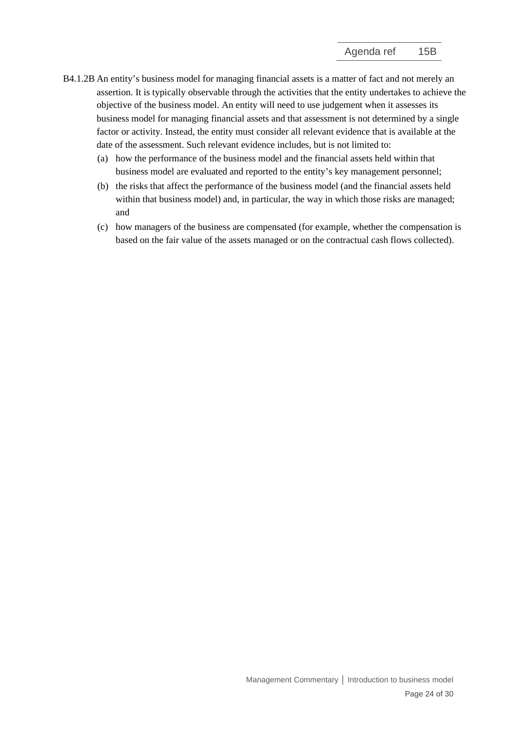- B4.1.2B An entity's business model for managing financial assets is a matter of fact and not merely an assertion. It is typically observable through the activities that the entity undertakes to achieve the objective of the business model. An entity will need to use judgement when it assesses its business model for managing financial assets and that assessment is not determined by a single factor or activity. Instead, the entity must consider all relevant evidence that is available at the date of the assessment. Such relevant evidence includes, but is not limited to:
	- (a) how the performance of the business model and the financial assets held within that business model are evaluated and reported to the entity's key management personnel;
	- (b) the risks that affect the performance of the business model (and the financial assets held within that business model) and, in particular, the way in which those risks are managed; and
	- (c) how managers of the business are compensated (for example, whether the compensation is based on the fair value of the assets managed or on the contractual cash flows collected).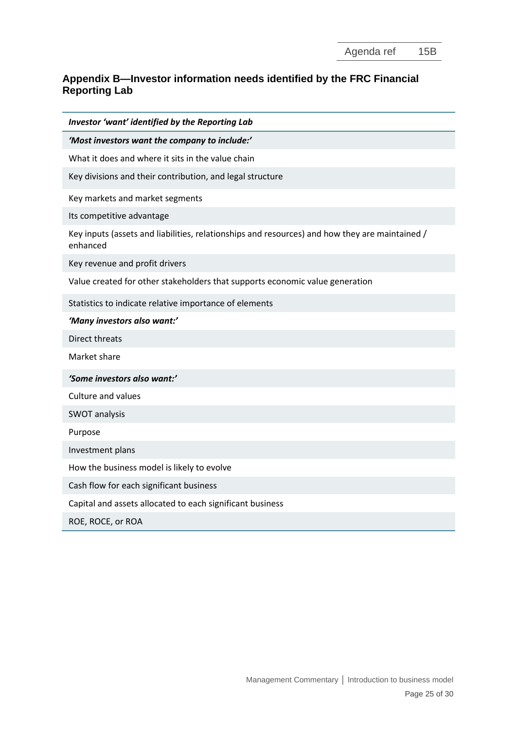# **Appendix B—Investor information needs identified by the FRC Financial Reporting Lab**

| Investor 'want' identified by the Reporting Lab                                                            |  |  |
|------------------------------------------------------------------------------------------------------------|--|--|
| 'Most investors want the company to include:'                                                              |  |  |
| What it does and where it sits in the value chain                                                          |  |  |
| Key divisions and their contribution, and legal structure                                                  |  |  |
| Key markets and market segments                                                                            |  |  |
| Its competitive advantage                                                                                  |  |  |
| Key inputs (assets and liabilities, relationships and resources) and how they are maintained /<br>enhanced |  |  |
| Key revenue and profit drivers                                                                             |  |  |
| Value created for other stakeholders that supports economic value generation                               |  |  |
| Statistics to indicate relative importance of elements                                                     |  |  |
| 'Many investors also want:'                                                                                |  |  |
| Direct threats                                                                                             |  |  |
| Market share                                                                                               |  |  |
| 'Some investors also want:'                                                                                |  |  |
| <b>Culture and values</b>                                                                                  |  |  |
| <b>SWOT analysis</b>                                                                                       |  |  |
| Purpose                                                                                                    |  |  |
| Investment plans                                                                                           |  |  |
| How the business model is likely to evolve                                                                 |  |  |
| Cash flow for each significant business                                                                    |  |  |
| Capital and assets allocated to each significant business                                                  |  |  |
| ROE, ROCE, or ROA                                                                                          |  |  |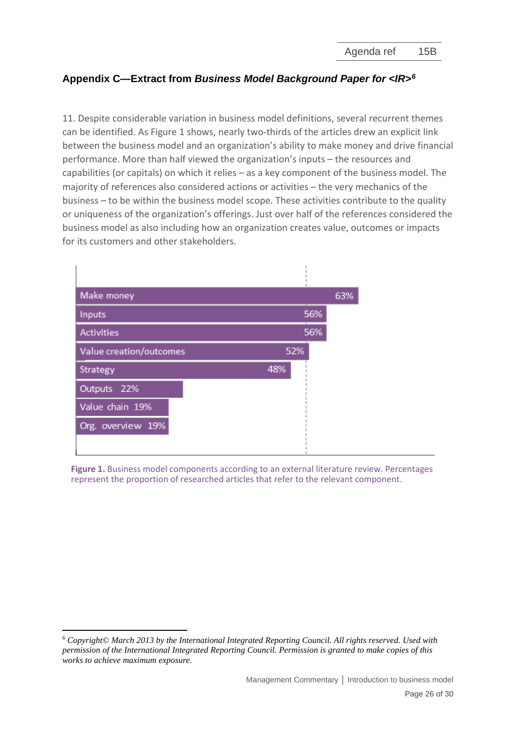# **Appendix C—Extract from** *Business Model Background Paper for <IR>[6](#page-25-0)*

11. Despite considerable variation in business model definitions, several recurrent themes can be identified. As Figure 1 shows, nearly two-thirds of the articles drew an explicit link between the business model and an organization's ability to make money and drive financial performance. More than half viewed the organization's inputs – the resources and capabilities (or capitals) on which it relies – as a key component of the business model. The majority of references also considered actions or activities – the very mechanics of the business – to be within the business model scope. These activities contribute to the quality or uniqueness of the organization's offerings. Just over half of the references considered the business model as also including how an organization creates value, outcomes or impacts for its customers and other stakeholders.



Figure 1. Business model components according to an external literature review. Percentages represent the proportion of researched articles that refer to the relevant component.

<span id="page-25-0"></span><sup>6</sup> *Copyright© March 2013 by the International Integrated Reporting Council. All rights reserved. Used with permission of the International Integrated Reporting Council. Permission is granted to make copies of this works to achieve maximum exposure.*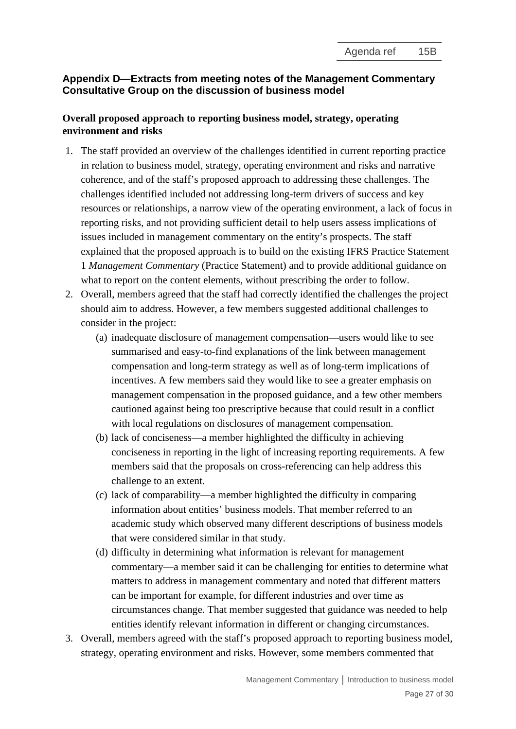## **Appendix D—Extracts from meeting notes of the Management Commentary Consultative Group on the discussion of business model**

# **Overall proposed approach to reporting business model, strategy, operating environment and risks**

- 1. The staff provided an overview of the challenges identified in current reporting practice in relation to business model, strategy, operating environment and risks and narrative coherence, and of the staff's proposed approach to addressing these challenges. The challenges identified included not addressing long-term drivers of success and key resources or relationships, a narrow view of the operating environment, a lack of focus in reporting risks, and not providing sufficient detail to help users assess implications of issues included in management commentary on the entity's prospects. The staff explained that the proposed approach is to build on the existing IFRS Practice Statement 1 *Management Commentary* (Practice Statement) and to provide additional guidance on what to report on the content elements, without prescribing the order to follow.
- 2. Overall, members agreed that the staff had correctly identified the challenges the project should aim to address. However, a few members suggested additional challenges to consider in the project:
	- (a) inadequate disclosure of management compensation—users would like to see summarised and easy-to-find explanations of the link between management compensation and long-term strategy as well as of long-term implications of incentives. A few members said they would like to see a greater emphasis on management compensation in the proposed guidance, and a few other members cautioned against being too prescriptive because that could result in a conflict with local regulations on disclosures of management compensation.
	- (b) lack of conciseness—a member highlighted the difficulty in achieving conciseness in reporting in the light of increasing reporting requirements. A few members said that the proposals on cross-referencing can help address this challenge to an extent.
	- (c) lack of comparability—a member highlighted the difficulty in comparing information about entities' business models. That member referred to an academic study which observed many different descriptions of business models that were considered similar in that study.
	- (d) difficulty in determining what information is relevant for management commentary—a member said it can be challenging for entities to determine what matters to address in management commentary and noted that different matters can be important for example, for different industries and over time as circumstances change. That member suggested that guidance was needed to help entities identify relevant information in different or changing circumstances.
- 3. Overall, members agreed with the staff's proposed approach to reporting business model, strategy, operating environment and risks. However, some members commented that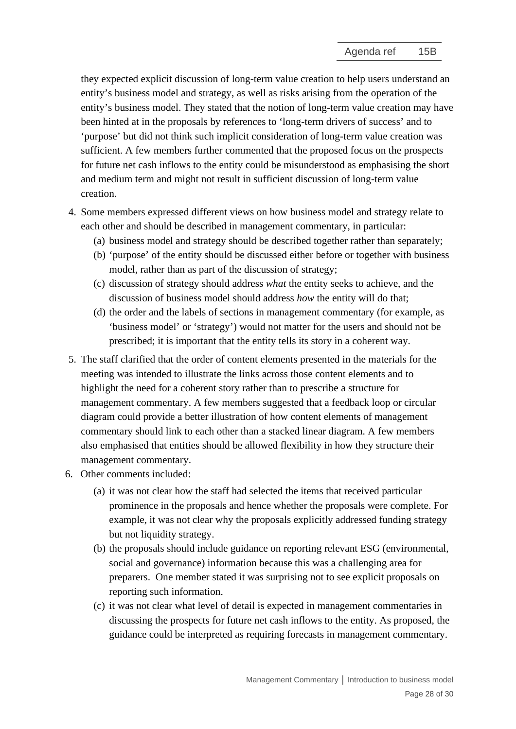they expected explicit discussion of long-term value creation to help users understand an entity's business model and strategy, as well as risks arising from the operation of the entity's business model. They stated that the notion of long-term value creation may have been hinted at in the proposals by references to 'long-term drivers of success' and to 'purpose' but did not think such implicit consideration of long-term value creation was sufficient. A few members further commented that the proposed focus on the prospects for future net cash inflows to the entity could be misunderstood as emphasising the short and medium term and might not result in sufficient discussion of long-term value creation.

- 4. Some members expressed different views on how business model and strategy relate to each other and should be described in management commentary, in particular:
	- (a) business model and strategy should be described together rather than separately;
	- (b) 'purpose' of the entity should be discussed either before or together with business model, rather than as part of the discussion of strategy;
	- (c) discussion of strategy should address *what* the entity seeks to achieve, and the discussion of business model should address *how* the entity will do that;
	- (d) the order and the labels of sections in management commentary (for example, as 'business model' or 'strategy') would not matter for the users and should not be prescribed; it is important that the entity tells its story in a coherent way.
- 5. The staff clarified that the order of content elements presented in the materials for the meeting was intended to illustrate the links across those content elements and to highlight the need for a coherent story rather than to prescribe a structure for management commentary. A few members suggested that a feedback loop or circular diagram could provide a better illustration of how content elements of management commentary should link to each other than a stacked linear diagram. A few members also emphasised that entities should be allowed flexibility in how they structure their management commentary.
- 6. Other comments included:
	- (a) it was not clear how the staff had selected the items that received particular prominence in the proposals and hence whether the proposals were complete. For example, it was not clear why the proposals explicitly addressed funding strategy but not liquidity strategy.
	- (b) the proposals should include guidance on reporting relevant ESG (environmental, social and governance) information because this was a challenging area for preparers. One member stated it was surprising not to see explicit proposals on reporting such information.
	- (c) it was not clear what level of detail is expected in management commentaries in discussing the prospects for future net cash inflows to the entity. As proposed, the guidance could be interpreted as requiring forecasts in management commentary.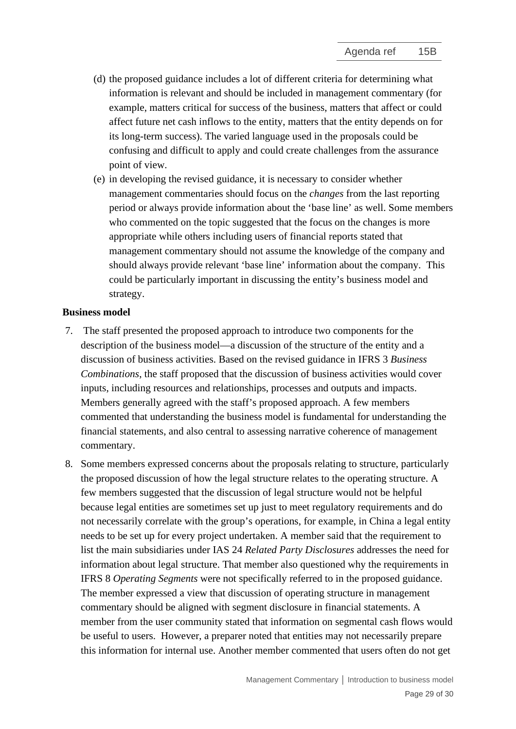- (d) the proposed guidance includes a lot of different criteria for determining what information is relevant and should be included in management commentary (for example, matters critical for success of the business, matters that affect or could affect future net cash inflows to the entity, matters that the entity depends on for its long-term success). The varied language used in the proposals could be confusing and difficult to apply and could create challenges from the assurance point of view.
- (e) in developing the revised guidance, it is necessary to consider whether management commentaries should focus on the *changes* from the last reporting period or always provide information about the 'base line' as well. Some members who commented on the topic suggested that the focus on the changes is more appropriate while others including users of financial reports stated that management commentary should not assume the knowledge of the company and should always provide relevant 'base line' information about the company. This could be particularly important in discussing the entity's business model and strategy.

#### **Business model**

- 7. The staff presented the proposed approach to introduce two components for the description of the business model—a discussion of the structure of the entity and a discussion of business activities. Based on the revised guidance in IFRS 3 *Business Combinations*, the staff proposed that the discussion of business activities would cover inputs, including resources and relationships, processes and outputs and impacts. Members generally agreed with the staff's proposed approach. A few members commented that understanding the business model is fundamental for understanding the financial statements, and also central to assessing narrative coherence of management commentary.
- 8. Some members expressed concerns about the proposals relating to structure, particularly the proposed discussion of how the legal structure relates to the operating structure. A few members suggested that the discussion of legal structure would not be helpful because legal entities are sometimes set up just to meet regulatory requirements and do not necessarily correlate with the group's operations, for example, in China a legal entity needs to be set up for every project undertaken. A member said that the requirement to list the main subsidiaries under IAS 24 *Related Party Disclosures* addresses the need for information about legal structure. That member also questioned why the requirements in IFRS 8 *Operating Segments* were not specifically referred to in the proposed guidance. The member expressed a view that discussion of operating structure in management commentary should be aligned with segment disclosure in financial statements. A member from the user community stated that information on segmental cash flows would be useful to users. However, a preparer noted that entities may not necessarily prepare this information for internal use. Another member commented that users often do not get